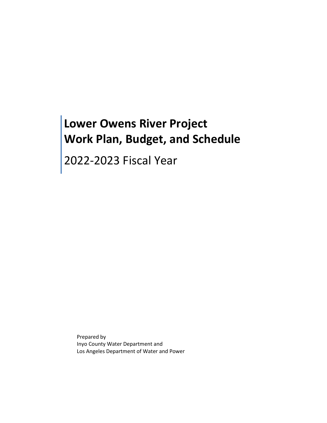# **Lower Owens River Project Work Plan, Budget, and Schedule**

2022-2023 Fiscal Year

Prepared by Inyo County Water Department and Los Angeles Department of Water and Power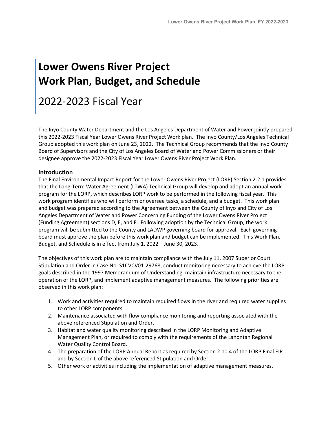# **Lower Owens River Project Work Plan, Budget, and Schedule**

# 2022-2023 Fiscal Year

The Inyo County Water Department and the Los Angeles Department of Water and Power jointly prepared this 2022-2023 Fiscal Year Lower Owens River Project Work plan. The Inyo County/Los Angeles Technical Group adopted this work plan on June 23, 2022. The Technical Group recommends that the Inyo County Board of Supervisors and the City of Los Angeles Board of Water and Power Commissioners or their designee approve the 2022-2023 Fiscal Year Lower Owens River Project Work Plan.

## **Introduction**

The Final Environmental Impact Report for the Lower Owens River Project (LORP) Section 2.2.1 provides that the Long-Term Water Agreement (LTWA) Technical Group will develop and adopt an annual work program for the LORP, which describes LORP work to be performed in the following fiscal year. This work program identifies who will perform or oversee tasks, a schedule, and a budget. This work plan and budget was prepared according to the Agreement between the County of Inyo and City of Los Angeles Department of Water and Power Concerning Funding of the Lower Owens River Project (Funding Agreement) sections D, E, and F. Following adoption by the Technical Group, the work program will be submitted to the County and LADWP governing board for approval. Each governing board must approve the plan before this work plan and budget can be implemented. This Work Plan, Budget, and Schedule is in effect from July 1, 2022 – June 30, 2023.

The objectives of this work plan are to maintain compliance with the July 11, 2007 Superior Court Stipulation and Order in Case No. S1CVCV01-29768, conduct monitoring necessary to achieve the LORP goals described in the 1997 Memorandum of Understanding, maintain infrastructure necessary to the operation of the LORP, and implement adaptive management measures. The following priorities are observed in this work plan:

- 1. Work and activities required to maintain required flows in the river and required water supplies to other LORP components.
- 2. Maintenance associated with flow compliance monitoring and reporting associated with the above referenced Stipulation and Order.
- 3. Habitat and water quality monitoring described in the LORP Monitoring and Adaptive Management Plan, or required to comply with the requirements of the Lahontan Regional Water Quality Control Board.
- 4. The preparation of the LORP Annual Report as required by Section 2.10.4 of the LORP Final EIR and by Section L of the above referenced Stipulation and Order.
- 5. Other work or activities including the implementation of adaptive management measures.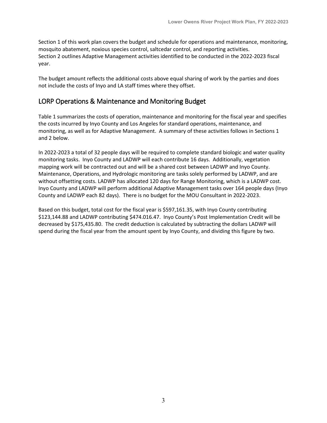Section 1 of this work plan covers the budget and schedule for operations and maintenance, monitoring, mosquito abatement, noxious species control, saltcedar control, and reporting activities. Section 2 outlines Adaptive Management activities identified to be conducted in the 2022-2023 fiscal year.

The budget amount reflects the additional costs above equal sharing of work by the parties and does not include the costs of Inyo and LA staff times where they offset.

## LORP Operations & Maintenance and Monitoring Budget

Table 1 summarizes the costs of operation, maintenance and monitoring for the fiscal year and specifies the costs incurred by Inyo County and Los Angeles for standard operations, maintenance, and monitoring, as well as for Adaptive Management. A summary of these activities follows in Sections 1 and 2 below.

In 2022-2023 a total of 32 people days will be required to complete standard biologic and water quality monitoring tasks. Inyo County and LADWP will each contribute 16 days. Additionally, vegetation mapping work will be contracted out and will be a shared cost between LADWP and Inyo County. Maintenance, Operations, and Hydrologic monitoring are tasks solely performed by LADWP, and are without offsetting costs. LADWP has allocated 120 days for Range Monitoring, which is a LADWP cost. Inyo County and LADWP will perform additional Adaptive Management tasks over 164 people days (Inyo County and LADWP each 82 days). There is no budget for the MOU Consultant in 2022-2023.

Based on this budget, total cost for the fiscal year is \$597,161.35, with Inyo County contributing \$123,144.88 and LADWP contributing \$474.016.47. Inyo County's Post Implementation Credit will be decreased by \$175,435.80. The credit deduction is calculated by subtracting the dollars LADWP will spend during the fiscal year from the amount spent by Inyo County, and dividing this figure by two.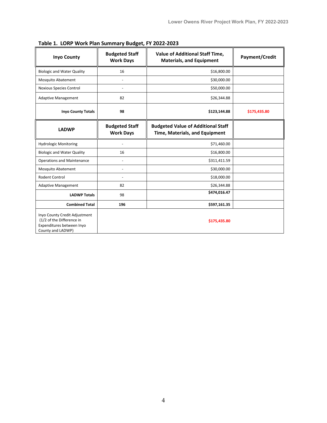| <b>Inyo County</b>                                                                                           | <b>Budgeted Staff</b><br><b>Work Days</b> | <b>Value of Additional Staff Time,</b><br><b>Materials, and Equipment</b>   | Payment/Credit |
|--------------------------------------------------------------------------------------------------------------|-------------------------------------------|-----------------------------------------------------------------------------|----------------|
| <b>Biologic and Water Quality</b>                                                                            | 16                                        | \$16,800.00                                                                 |                |
| <b>Mosquito Abatement</b>                                                                                    | ٠                                         | \$30,000.00                                                                 |                |
| <b>Noxious Species Control</b>                                                                               | $\qquad \qquad \blacksquare$              | \$50,000.00                                                                 |                |
| <b>Adaptive Management</b>                                                                                   | 82                                        | \$26,344.88                                                                 |                |
| <b>Inyo County Totals</b>                                                                                    | 98                                        | \$123,144.88                                                                | \$175,435.80   |
| <b>LADWP</b>                                                                                                 | <b>Budgeted Staff</b><br><b>Work Days</b> | <b>Budgeted Value of Additional Staff</b><br>Time, Materials, and Equipment |                |
| <b>Hydrologic Monitoring</b>                                                                                 |                                           | \$71,460.00                                                                 |                |
| <b>Biologic and Water Quality</b>                                                                            | 16                                        | \$16,800.00                                                                 |                |
| <b>Operations and Maintenance</b>                                                                            | ٠                                         | \$311,411.59                                                                |                |
| <b>Mosquito Abatement</b>                                                                                    | ٠                                         | \$30,000.00                                                                 |                |
| Rodent Control                                                                                               |                                           | \$18,000.00                                                                 |                |
| <b>Adaptive Management</b>                                                                                   | 82                                        | \$26,344.88                                                                 |                |
| <b>LADWP Totals</b>                                                                                          | 98                                        | \$474,016.47                                                                |                |
| <b>Combined Total</b>                                                                                        | 196                                       | \$597,161.35                                                                |                |
| Inyo County Credit Adjustment<br>(1/2 of the Difference in<br>Expenditures between Inyo<br>County and LADWP) |                                           | \$175,435.80                                                                |                |

**Table 1. LORP Work Plan Summary Budget, FY 2022-2023**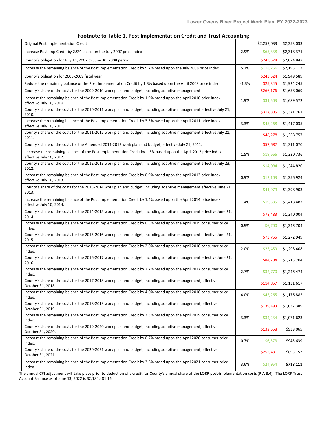|  | Footnote to Table 1. Post Implementation Credit and Trust Accounting |  |
|--|----------------------------------------------------------------------|--|
|--|----------------------------------------------------------------------|--|

| Original Post Implementation Credit                                                                                                        |         | \$2,253,033 | \$2,253,033 |
|--------------------------------------------------------------------------------------------------------------------------------------------|---------|-------------|-------------|
| Increase Post Imp Credit by 2.9% based on the July 2007 price Index                                                                        | 2.9%    | \$65,338    | \$2,318,371 |
| County's obligation for July 11, 2007 to June 30, 2008 period                                                                              |         | \$243,524   | \$2,074,847 |
| Increase the remaining balance of the Post Implementation Credit by 5.7% based upon the July 2008 price index                              | 5.7%    | \$118,266   | \$2,193,113 |
| County's obligation for 2008-2009 fiscal year                                                                                              |         | \$243,524   | \$1,949,589 |
| Reduce the remaining balance of the Post Implementation Credit by 1.3% based upon the April 2009 price index                               | $-1.3%$ | \$25,345    | \$1,924,245 |
| County's share of the costs for the 2009-2010 work plan and budget, including adaptive management.                                         |         | \$266,176   | \$1,658,069 |
| Increase the remaining balance of the Post Implementation Credit by 1.9% based upon the April 2010 price index<br>effective July 10, 2010  | 1.9%    | \$31,503    | \$1,689,572 |
| County's share of the costs for the 2010-2011 work plan and budget, including adaptive management effective July 21,<br>2010.              |         | \$317,805   | \$1,371,767 |
| Increase the remaining balance of the Post Implementation Credit by 3.3% based upon the April 2011 price index<br>effective July 10, 2011. | 3.3%    | \$45,268    | \$1,417,035 |
| County's share of the costs for the 2011-2012 work plan and budget, including adaptive management effective July 21,<br>2011.              |         | \$48,278    | \$1,368,757 |
| County's share of the costs for the Amended 2011-2012 work plan and budget, effective July 21, 2011.                                       |         | \$57,687    | \$1,311,070 |
| Increase the remaining balance of the Post Implementation Credit by 1.5% based upon the April 2012 price index<br>effective July 10, 2012. | 1.5%    | \$19,666    | \$1,330,736 |
| County's share of the costs for the 2012-2013 work plan and budget, including adaptive management effective July 23,<br>2012.              |         | \$14,084    | \$1,344,820 |
| Increase the remaining balance of the Post Implementation Credit by 0.9% based upon the April 2013 price index<br>effective July 10, 2013. | 0.9%    | \$12,103    | \$1,356,924 |
| County's share of the costs for the 2013-2014 work plan and budget, including adaptive management effective June 21,<br>2013.              |         | \$41,979    | \$1,398,903 |
| Increase the remaining balance of the Post Implementation Credit by 1.4% based upon the April 2014 price index<br>effective July 10, 2014. | 1.4%    | \$19,585    | \$1,418,487 |
| County's share of the costs for the 2014-2015 work plan and budget, including adaptive management effective June 21,<br>2014.              |         | \$78,483    | \$1,340,004 |
| Increase the remaining balance of the Post Implementation Credit by 0.5% based upon the April 2015 consumer price<br>index.                | 0.5%    | \$6,700     | \$1,346,704 |
| County's share of the costs for the 2015-2016 work plan and budget, including adaptive management effective June 21,<br>2015.              |         | \$73,755    | \$1,272,949 |
| Increase the remaining balance of the Post Implementation Credit by 2.0% based upon the April 2016 consumer price<br>index.                | 2.0%    | \$25,459    | \$1,298,408 |
| County's share of the costs for the 2016-2017 work plan and budget, including adaptive management effective June 21,<br>2016.              |         | \$84,704    | \$1,213,704 |
| Increase the remaining balance of the Post Implementation Credit by 2.7% based upon the April 2017 consumer price<br>index.                | 2.7%    | \$32,770    | \$1,246,474 |
| County's share of the costs for the 2017-2018 work plan and budget, including adaptive management, effective<br>October 31, 2018.          |         | \$114,857   | \$1,131,617 |
| Increase the remaining balance of the Post Implementation Credit by 4.0% based upon the April 2018 consumer price<br>index.                | 4.0%    | \$45,265    | \$1,176,882 |
| County's share of the costs for the 2018-2019 work plan and budget, including adaptive management, effective<br>October 31, 2019.          |         | \$139,493   | \$1,037,389 |
| Increase the remaining balance of the Post Implementation Credit by 3.3% based upon the April 2019 consumer price<br>index.                | 3.3%    | \$34,234    | \$1,071,623 |
| County's share of the costs for the 2019-2020 work plan and budget, including adaptive management, effective<br>October 31, 2020.          |         | \$132,558   | \$939,065   |
| Increase the remaining balance of the Post Implementation Credit by 0.7% based upon the April 2020 consumer price<br>index.                | 0.7%    | \$6,573     | \$945,639   |
| County's share of the costs for the 2020-2021 work plan and budget, including adaptive management, effective<br>October 31, 2021.          |         | \$252,481   | \$693,157   |
| Increase the remaining balance of the Post Implementation Credit by 3.6% based upon the April 2021 consumer price<br>index.                | 3.6%    | \$24,954    | \$718,111   |

The annual CPI adjustment will take place prior to deduction of a credit for County's annual share of the LORP post-implementation costs (PIA 8.4). The LORP Trust Account Balance as of June 13, 2022 is \$2,184,481.16.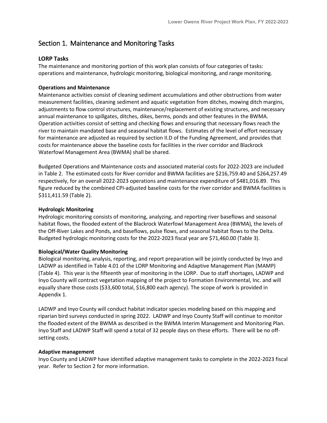## Section 1. Maintenance and Monitoring Tasks

## **LORP Tasks**

The maintenance and monitoring portion of this work plan consists of four categories of tasks: operations and maintenance, hydrologic monitoring, biological monitoring, and range monitoring.

## **Operations and Maintenance**

Maintenance activities consist of cleaning sediment accumulations and other obstructions from water measurement facilities, cleaning sediment and aquatic vegetation from ditches, mowing ditch margins, adjustments to flow control structures, maintenance/replacement of existing structures, and necessary annual maintenance to spillgates, ditches, dikes, berms, ponds and other features in the BWMA. Operation activities consist of setting and checking flows and ensuring that necessary flows reach the river to maintain mandated base and seasonal habitat flows. Estimates of the level of effort necessary for maintenance are adjusted as required by section II.D of the Funding Agreement, and provides that costs for maintenance above the baseline costs for facilities in the river corridor and Blackrock Waterfowl Management Area (BWMA) shall be shared.

Budgeted Operations and Maintenance costs and associated material costs for 2022-2023 are included in Table 2. The estimated costs for River corridor and BWMA facilities are \$216,759.40 and \$264,257.49 respectively, for an overall 2022-2023 operations and maintenance expenditure of \$481,016.89. This figure reduced by the combined CPI-adjusted baseline costs for the river corridor and BWMA facilities is \$311,411.59 (Table 2).

### **Hydrologic Monitoring**

Hydrologic monitoring consists of monitoring, analyzing, and reporting river baseflows and seasonal habitat flows, the flooded extent of the Blackrock Waterfowl Management Area (BWMA), the levels of the Off-River Lakes and Ponds, and baseflows, pulse flows, and seasonal habitat flows to the Delta. Budgeted hydrologic monitoring costs for the 2022-2023 fiscal year are \$71,460.00 (Table 3).

## **Biological/Water Quality Monitoring**

Biological monitoring, analysis, reporting, and report preparation will be jointly conducted by Inyo and LADWP as identified in Table 4.01 of the LORP Monitoring and Adaptive Management Plan (MAMP) (Table 4). This year is the fifteenth year of monitoring in the LORP. Due to staff shortages, LADWP and Inyo County will contract vegetation mapping of the project to Formation Environmental, Inc. and will equally share those costs (\$33,600 total, \$16,800 each agency). The scope of work is provided in Appendix 1.

LADWP and Inyo County will conduct habitat indicator species modeling based on this mapping and riparian bird surveys conducted in spring 2022. LADWP and Inyo County Staff will continue to monitor the flooded extent of the BWMA as described in the BWMA Interim Management and Monitoring Plan. Inyo Staff and LADWP Staff will spend a total of 32 people days on these efforts. There will be no offsetting costs.

### **Adaptive management**

Inyo County and LADWP have identified adaptive management tasks to complete in the 2022-2023 fiscal year. Refer to Section 2 for more information.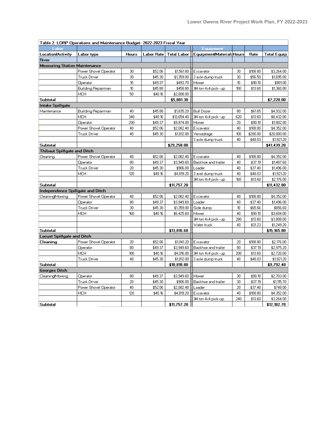| Table 2. LORP Operations and Maintenance Budget- 2022-2023 Fiscal Year |                       |              |            |                    |                           |     |          |                    |  |
|------------------------------------------------------------------------|-----------------------|--------------|------------|--------------------|---------------------------|-----|----------|--------------------|--|
| Labor                                                                  |                       |              |            |                    | Equipment                 |     |          |                    |  |
| <b>Location Activity</b>                                               | Labor type            | <b>Hours</b> | Labor Rate | <b>Total Labor</b> | Equipment/Materials Hours |     | Rate     | <b>Total Equip</b> |  |
| <b>River</b>                                                           |                       |              |            |                    |                           |     |          |                    |  |
| <b>Measuring Station Maintenance</b>                                   |                       |              |            |                    |                           |     |          |                    |  |
|                                                                        | Power Shovel Operator | 30           | \$52.06    | \$1,561.80         | Excavator                 | 30  | \$108.80 | \$3,264.00         |  |
|                                                                        | Truck Driver          | 30           | \$45.30    | \$1,359.00         | 3 axle dump truck         | 30  | \$56.50  | \$1,695.00         |  |
|                                                                        | Operator              | 10           | \$49.37    | \$493.70           | Mower                     | 10  | \$90.10  | \$901.00           |  |
|                                                                        | Building Repairman    | 10           | \$45.88    | \$458.80           | 3ł4 ton 4x4 pick- up      | 100 | \$13.60  | \$1,360.00         |  |
|                                                                        | MCH                   | 50           | \$40.16    | \$2,008.00         |                           |     |          |                    |  |
| Subtotal                                                               |                       |              |            | \$5,881.30         |                           |     |          | \$7,220.00         |  |
| Intake Spillgate                                                       |                       |              |            |                    |                           |     |          |                    |  |
| Maintenance                                                            | Building Repairman    | 40           | \$45.88    | \$1,835.20         | <b>Bull Dozer</b>         | 80  | \$61.65  | \$4,932.00         |  |
|                                                                        | MCH                   | 340          | \$40.16    | \$13,654.40        | 3ł4 ton 4x4 pick- up      | 620 | \$13.60  | \$8,432.00         |  |
|                                                                        | Operator              | 200          | \$49.37    | \$9,874.00         | Mower                     | 20  | \$90.10  | \$1,802.00         |  |
|                                                                        | Power Shovel Operator | 40           | \$52.06    | \$2,082.40         | Excavator                 | 40  | \$108.80 | \$4,352.00         |  |
|                                                                        | <b>Truck Driver</b>   | 40           | \$45.30    | \$1,812.00         | Versadrege                | 100 | \$200.00 | \$20,000.00        |  |
|                                                                        |                       |              |            |                    | 3 axle dump truck         | 40  | \$48.03  | \$1,921.20         |  |
| Subtotal                                                               |                       |              |            | \$29,258.00        |                           |     |          | \$41,439.20        |  |
| <b>Thibaut Spillgate and Ditch</b>                                     |                       |              |            |                    |                           |     |          |                    |  |
| Cleaning                                                               | Power Shovel Operator | 40           | \$52.06    | \$2,082.40         | Excavator                 | 40  | \$108.80 | \$4,352.00         |  |
|                                                                        | Operator              | 80           | \$49.37    | \$3,949.60         | Backhoe and trailer       | 40  | \$37.19  | \$1,487.60         |  |
|                                                                        | <b>Truck Driver</b>   | 20           | \$45.30    | \$906.00           | Loader                    | 40  | \$37.40  | \$1,496.00         |  |
|                                                                        | MCH                   | 120          | \$40.16    | \$4,819.20         | 3 axel dump truck         | 40  | \$48.03  | \$1,921.20         |  |
|                                                                        |                       |              |            |                    | 3ł4 ton 4x4 pick- up      | 160 | \$13.60  | \$2,176.00         |  |
| Subtotal                                                               |                       |              |            | \$11,757.20        |                           |     |          | \$11,432.80        |  |
| Independence Spillgate and Ditch                                       |                       |              |            |                    |                           |     |          |                    |  |
| Cleaning/Mowing                                                        | Power Shovel Operator | 40           | \$52.06    | \$2,082.40         | Excavator                 | 40  | \$108.80 | \$4,352.00         |  |
|                                                                        | Operator              | 80           | \$49.37    | \$3,949.60         | Loader                    | 40  | \$37.40  | \$1,496.00         |  |
|                                                                        | <b>Truck Driver</b>   | 30           | \$45.30    | \$1,359.00         | Side dump                 | 10  | \$65.66  | \$656.60           |  |
|                                                                        | MCH                   | 160          | \$40.16    | \$6,425.60         | Mower                     | 40  | \$90.10  | \$3,604.00         |  |
|                                                                        |                       |              |            |                    | 3ł4 ton 4x4 pick- up      | 280 | \$13.60  | \$3,808.00         |  |
|                                                                        |                       |              |            |                    | Water truck               | 40  | \$31.23  | \$1,249.20         |  |
| <b>Subtotal</b>                                                        |                       |              |            | \$13,816.60        |                           |     |          | \$15,165.80        |  |
| <b>Locust Spillgate and Ditch</b>                                      |                       |              |            |                    |                           |     |          |                    |  |
| Cleaning                                                               | Power Shovel Operator | 20           | \$52.06    | \$1,041.20         | Excavator                 | 20  | \$108.80 | \$2,176.00         |  |
|                                                                        | Operator              | 80           | \$49.37    | \$3,949.60         | Backhoe and trailer       | 80  | \$37.19  | \$2,975.20         |  |
|                                                                        | <b>MCH</b>            | 100          | \$40.16    | \$4,016.00         | 3/4 ton 4x4 pick- up      | 200 | \$13.60  | \$2,720.00         |  |
|                                                                        | <b>Truck Driver</b>   | 40           | \$45.30    | \$1,812.00         | 3 axle dump truck         | 40  | \$48.03  | \$1,921.20         |  |
| Subtotal                                                               |                       |              |            | \$10,818.80        |                           |     |          | \$9,792.40         |  |
| <b>Georges Ditch</b>                                                   |                       |              |            |                    |                           |     |          |                    |  |
| CleaningMowing                                                         | Operator              | 80           | \$49.37    | \$3,949.60         | Mower                     | 30  | \$90.10  | \$2,703.00         |  |
|                                                                        | <b>Truck Driver</b>   | 20           | \$45.30    | \$906.00           | Backhoe and trailer       | 30  | \$37.19  | \$1,115.70         |  |
|                                                                        | Power Shovel Operator | 40           | \$52.06    | \$2,082.40         | Loader                    | 20  | \$37.40  | \$748.00           |  |
|                                                                        | MCH                   | 120          | \$40.16    | \$4,819.20         | Excavator                 | 40  | \$108.80 | \$4,352.00         |  |
|                                                                        |                       |              |            |                    | 34 ton 4x4 pick-up        | 240 | \$13.60  | \$3,264.00         |  |
| <b>Subtotal</b>                                                        |                       |              |            | \$11,757.20        |                           |     |          | \$12,182.70        |  |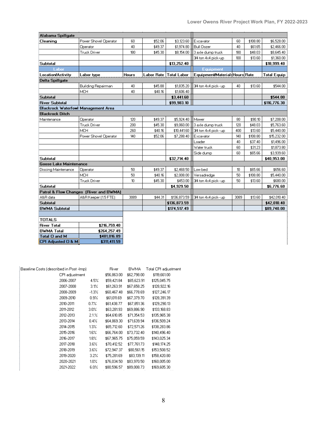| Alabama Spillgate                          |                                        |       |            |                    |                                |      |          |                    |
|--------------------------------------------|----------------------------------------|-------|------------|--------------------|--------------------------------|------|----------|--------------------|
| Cleaning                                   | Power Shovel Operator                  | 60    | \$52.06    | \$3,123.60         | Excavator                      | 60   | \$108.80 | \$6,528.00         |
|                                            | Operator                               | 40    | \$49.37    | \$1,974.80         | <b>Bull Dozer</b>              | 40   | \$61.65  | \$2,466.00         |
|                                            | <b>Truck Driver</b>                    | 180   | \$45.30    | \$8,154.00         | 3 axle dump truck              | 180  | \$48.03  | \$8,645.40         |
|                                            |                                        |       |            |                    | 3/4 ton 4x4 pick-up            | 100  | \$13.60  | \$1,360.00         |
| Subtotal                                   |                                        |       |            | \$13,252.40        |                                |      |          | \$18,999.40        |
| _abor                                      |                                        |       |            |                    | <b>Equipment</b>               |      |          |                    |
| <b>Location Activity</b>                   | Labor type                             | Hours | Labor Rate | <b>Total Labor</b> | Equipment/Materials Hours Rate |      |          | <b>Total Equip</b> |
| <b>Delta Spillgate</b>                     |                                        |       |            |                    |                                |      |          |                    |
|                                            | Building Repairman                     | 40    | \$45.88    | \$1,835.20         | 3/4 ton 4x4 pick- up           | 40   | \$13.60  | \$544.00           |
|                                            | <b>MCH</b>                             | 40    | \$40.16    | \$1,606.40         |                                |      |          |                    |
| <b>Subtotal</b>                            |                                        |       |            | \$3,441.60         |                                |      |          | \$544.00           |
| <b>River Subtotal</b>                      |                                        |       |            | \$99,983.10        |                                |      |          | \$116,776.30       |
| <b>Blackrock Waterfowl Management Area</b> |                                        |       |            |                    |                                |      |          |                    |
| <b>Blackrock Ditch</b>                     |                                        |       |            |                    |                                |      |          |                    |
| Maintenance                                | Operator                               | 120   | \$49.37    | \$5,924.40         | Mower                          | 80   | \$90.10  | \$7,208.00         |
|                                            | <b>Truck Driver</b>                    | 200   | \$45.30    | \$9,060.00         | 3 axle dump truck              | 120  | \$48.03  | \$5,763.60         |
|                                            | <b>MCH</b>                             | 260   | \$40.16    | \$10,441.60        | 3/4 ton 4x4 pick- up           | 400  | \$13.60  | \$5,440.00         |
|                                            | Power Shovel Operator                  | 140   | \$52.06    | \$7,288.40         | Excavator                      | 140  | \$108.80 | \$15,232.00        |
|                                            |                                        |       |            |                    | Loader                         | 40   | \$37.40  | \$1,496.00         |
|                                            |                                        |       |            |                    | Water truck                    | 60   | \$31.23  | \$1,873.80         |
|                                            |                                        |       |            |                    | Side dump                      | 60   | \$65.66  | \$3,939.60         |
| <b>Subtotal</b>                            |                                        |       |            | \$32,714.40        |                                |      |          | \$40,953.00        |
| <b>Goose Lake Maintenance</b>              |                                        |       |            |                    |                                |      |          |                    |
| Discing Maintenance                        | Operator                               | 50    | \$49.37    | \$2,468.50         | Low bed                        | 10   | \$65.66  | \$656.60           |
|                                            | <b>MCH</b>                             | 50    | \$40.16    | \$2,008.00         | Versadredge                    | 50   | \$108.80 | \$5,440.00         |
|                                            | <b>Truck Driver</b>                    | 10    | \$45.30    | \$453.00           | 3/4 ton 4x4 pick- up           | 50   | \$13.60  | \$680.00           |
| <b>Subtotal</b>                            |                                        |       |            | \$4,929.50         |                                |      |          | \$6,776.60         |
|                                            | Patrol & Flow Changes (River and BWMA) |       |            |                    |                                |      |          |                    |
| A&R data                                   | A&R Keeper (15 FTE)                    | 3089  | \$44.31    | \$136,873.59       | 3/4 ton 4x4 pick- up           | 3089 | \$13.60  | \$42,010.40        |
| <b>Subtotal</b>                            |                                        |       |            | \$136,873.59       |                                |      |          | \$42,010.40        |
| <b>BWMA Subtotal</b>                       |                                        |       |            | \$174,517.49       |                                |      |          | \$89,740.00        |
|                                            |                                        |       |            |                    |                                |      |          |                    |
| <b>TOTALS</b>                              |                                        |       |            |                    |                                |      |          |                    |
| <b>River Total</b>                         | \$216,759.40                           |       |            |                    |                                |      |          |                    |
| <b>BWMA Total</b>                          | \$264,257.49                           |       |            |                    |                                |      |          |                    |
| Total O and M                              | \$481,016.89                           |       |            |                    |                                |      |          |                    |
| CPI Adjusted O & M                         | \$311,411.59                           |       |            |                    |                                |      |          |                    |

| Baseline Costs (described in Post -Imp) | <b>River</b> | <b>BWMA</b> | Total CPI adjustment |              |
|-----------------------------------------|--------------|-------------|----------------------|--------------|
| CPI adjustment                          |              | \$56,863.00 | \$62,798.00          | \$119,661.00 |
| 2006-2007                               | 4.5%         | \$59,421.84 | \$65,623.91          | \$125,045.75 |
| 2007-2008                               | $3.1\%$      | \$61,263.91 | \$67,658.25          | \$128,922.16 |
| 2008-2009                               | $-1.3\%$     | \$60,467.48 | \$66,778.69          | \$127,246.17 |
| 2009-2010                               | 0.9%         | \$61,011.69 | \$67,379.70          | \$128,391.39 |
| 2010-2011                               | $0.7\%$      | \$61,438.77 | \$67,851.36          | \$129,290.13 |
| 2011-2012                               | $3.0\%$      | \$63,281.93 | \$69,886.90          | \$133,168.83 |
| 2012-2013                               | $2.1\%$      | \$64,610.85 | \$71,354.53          | \$135,965.38 |
| 2013-2014                               | 0.4%         | \$64,869.30 | \$71,639.94          | \$136,509.24 |
| 2014-2015                               | 1.3%         | \$65,712.60 | \$72,571.26          | \$138,283.86 |
| 2015-2016                               | $16\%$       | \$66,764.00 | \$73,732.40          | \$140,496.40 |
| 2016-2017                               | $18\%$       | \$67,965.75 | \$75,059.59          | \$143,025.34 |
| 2017-2018                               | 3.6%         | \$70,412.52 | \$77,761.73          | \$148,174.25 |
| 2018-2019                               | 3.6%         | \$72,947.37 | \$80,561.15          | \$153,508.52 |
| 2019-2020                               | $3.2\%$      | \$75,281.69 | \$83,139.11          | \$158,420.80 |
| 2020-2021                               | $10\%$       | \$76,034.50 | \$83,970.50          | \$160,005.00 |
| 2021-2022                               | $6.0\%$      | \$80,596.57 | \$89,008.73          | \$169,605.30 |
|                                         |              |             |                      |              |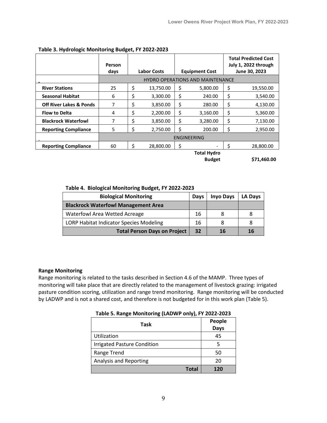|                                    | Person<br>days | <b>Labor Costs</b> |           | <b>Equipment Cost</b> |                                         | <b>Total Predicted Cost</b><br>July 1, 2022 through<br>June 30, 2023 |             |  |
|------------------------------------|----------------|--------------------|-----------|-----------------------|-----------------------------------------|----------------------------------------------------------------------|-------------|--|
|                                    |                |                    |           |                       | <b>HYDRO OPERATIONS AND MAINTENANCE</b> |                                                                      |             |  |
| <b>River Stations</b>              | 25             | \$                 | 13,750.00 | \$                    | 5,800.00                                | \$                                                                   | 19,550.00   |  |
| <b>Seasonal Habitat</b>            | 6              | \$                 | 3,300.00  | \$                    | 240.00                                  | \$                                                                   | 3,540.00    |  |
| <b>Off River Lakes &amp; Ponds</b> | 7              | \$                 | 3,850.00  | \$                    | 280.00                                  | \$                                                                   | 4,130.00    |  |
| <b>Flow to Delta</b>               | 4              | \$                 | 2,200.00  | \$                    | 3,160.00                                | \$                                                                   | 5,360.00    |  |
| <b>Blackrock Waterfowl</b>         | 7              | \$                 | 3,850.00  | \$                    | 3,280.00                                | \$                                                                   | 7,130.00    |  |
| <b>Reporting Compliance</b>        | 5              | \$                 | 2,750.00  | Ś                     | 200.00                                  | \$                                                                   | 2,950.00    |  |
|                                    |                |                    |           |                       | ENGINEERING                             |                                                                      |             |  |
| <b>Reporting Compliance</b>        | 60             | \$                 | 28,800.00 | \$                    |                                         | Ś                                                                    | 28,800.00   |  |
|                                    |                | <b>Total Hydro</b> |           |                       |                                         |                                                                      |             |  |
|                                    |                |                    |           |                       | <b>Budget</b>                           |                                                                      | \$71,460.00 |  |

### **Table 3. Hydrologic Monitoring Budget, FY 2022-2023**

### **Table 4. Biological Monitoring Budget, FY 2022-2023**

| <b>Biological Monitoring</b>                   | <b>Days</b> | <b>Inyo Days</b> | LA Days |
|------------------------------------------------|-------------|------------------|---------|
| <b>Blackrock Waterfowl Management Area</b>     |             |                  |         |
| <b>Waterfowl Area Wetted Acreage</b>           | 16          |                  |         |
| <b>LORP Habitat Indicator Species Modeling</b> | 16          |                  |         |
| <b>Total Person Days on Project</b>            | 32          | 16               | 16      |

### **Range Monitoring**

Range monitoring is related to the tasks described in Section 4.6 of the MAMP. Three types of monitoring will take place that are directly related to the management of livestock grazing: irrigated pasture condition scoring, utilization and range trend monitoring. Range monitoring will be conducted by LADWP and is not a shared cost, and therefore is not budgeted for in this work plan (Table 5).

| Table 5. Range Monitoring (LADWP only), FY 2022-2023 |  |  |  |  |
|------------------------------------------------------|--|--|--|--|
|------------------------------------------------------|--|--|--|--|

| <b>Task</b>                        | People<br><b>Days</b> |
|------------------------------------|-----------------------|
| Utilization                        | 45                    |
| <b>Irrigated Pasture Condition</b> | 5                     |
| Range Trend                        | 50                    |
| <b>Analysis and Reporting</b>      | 20                    |
| Total                              | 170                   |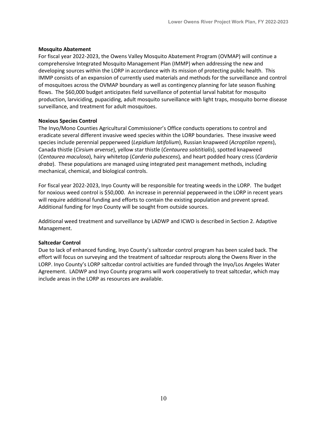#### **Mosquito Abatement**

For fiscal year 2022-2023, the Owens Valley Mosquito Abatement Program (OVMAP) will continue a comprehensive Integrated Mosquito Management Plan (IMMP) when addressing the new and developing sources within the LORP in accordance with its mission of protecting public health. This IMMP consists of an expansion of currently used materials and methods for the surveillance and control of mosquitoes across the OVMAP boundary as well as contingency planning for late season flushing flows. The \$60,000 budget anticipates field surveillance of potential larval habitat for mosquito production, larviciding, pupaciding, adult mosquito surveillance with light traps, mosquito borne disease surveillance, and treatment for adult mosquitoes.

#### **Noxious Species Control**

The Inyo/Mono Counties Agricultural Commissioner's Office conducts operations to control and eradicate several different invasive weed species within the LORP boundaries. These invasive weed species include perennial pepperweed (*Lepidium latifolium*), Russian knapweed (*Acroptilon repens*), Canada thistle (*Cirsium arvense*), yellow star thistle (*Centaurea solstitialis*), spotted knapweed (*Centaurea maculosa*), hairy whitetop (*Carderia pubescens*)*,* and heart podded hoary cress (*Carderia draba*). These populations are managed using integrated pest management methods, including mechanical, chemical, and biological controls.

For fiscal year 2022-2023, Inyo County will be responsible for treating weeds in the LORP. The budget for noxious weed control is \$50,000. An increase in perennial pepperweed in the LORP in recent years will require additional funding and efforts to contain the existing population and prevent spread. Additional funding for Inyo County will be sought from outside sources.

Additional weed treatment and surveillance by LADWP and ICWD is described in Section 2. Adaptive Management.

### **Saltcedar Control**

Due to lack of enhanced funding, Inyo County's saltcedar control program has been scaled back. The effort will focus on surveying and the treatment of saltcedar resprouts along the Owens River in the LORP. Inyo County's LORP saltcedar control activities are funded through the Inyo/Los Angeles Water Agreement. LADWP and Inyo County programs will work cooperatively to treat saltcedar, which may include areas in the LORP as resources are available.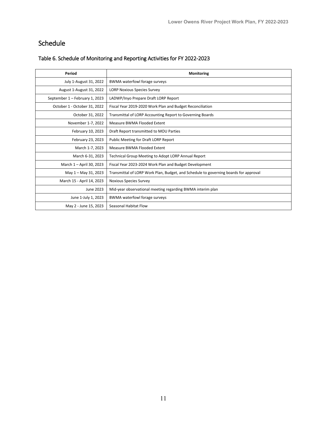# Schedule

| Period                         | Monitoring                                                                           |
|--------------------------------|--------------------------------------------------------------------------------------|
| July 1-August 31, 2022         | BWMA waterfowl forage surveys                                                        |
| August 1-August 31, 2022       | <b>LORP Noxious Species Survey</b>                                                   |
| September 1 - February 1, 2023 | LADWP/Inyo Prepare Draft LORP Report                                                 |
| October 1 - October 31, 2022   | Fiscal Year 2019-2020 Work Plan and Budget Reconciliation                            |
| October 31, 2022               | Transmittal of LORP Accounting Report to Governing Boards                            |
| November 1-7, 2022             | Measure BWMA Flooded Extent                                                          |
| February 10, 2023              | Draft Report transmitted to MOU Parties                                              |
| February 23, 2023              | Public Meeting for Draft LORP Report                                                 |
| March 1-7, 2023                | Measure BWMA Flooded Extent                                                          |
| March 6-31, 2023               | Technical Group Meeting to Adopt LORP Annual Report                                  |
| March 1 - April 30, 2023       | Fiscal Year 2023-2024 Work Plan and Budget Development                               |
| May 1 - May 31, 2023           | Transmittal of LORP Work Plan, Budget, and Schedule to governing boards for approval |
| March 15 - April 14, 2023      | Noxious Species Survey                                                               |
| June 2023                      | Mid-year observational meeting regarding BWMA interim plan                           |
| June 1-July 1, 2023            | BWMA waterfowl forage surveys                                                        |
| May 2 - June 15, 2023          | Seasonal Habitat Flow                                                                |

## Table 6. Schedule of Monitoring and Reporting Activities for FY 2022-2023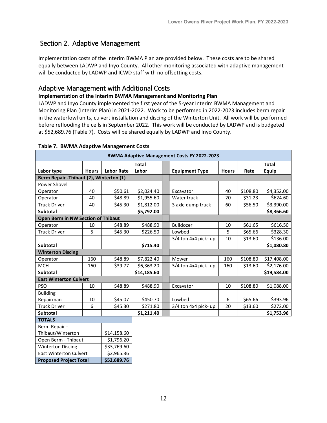## Section 2. Adaptive Management

Implementation costs of the Interim BWMA Plan are provided below. These costs are to be shared equally between LADWP and Inyo County. All other monitoring associated with adaptive management will be conducted by LADWP and ICWD staff with no offsetting costs.

## Adaptive Management with Additional Costs

## **Implementation of the Interim BWMA Management and Monitoring Plan**

LADWP and Inyo County implemented the first year of the 5-year Interim BWMA Management and Monitoring Plan (Interim Plan) in 2021-2022. Work to be performed in 2022-2023 includes berm repair in the waterfowl units, culvert installation and discing of the Winterton Unit. All work will be performed before reflooding the cells in September 2022. This work will be conducted by LADWP and is budgeted at \$52,689.76 (Table 7). Costs will be shared equally by LADWP and Inyo County.

| <b>BWMA Adaptive Management Costs FY 2022-2023</b> |              |                   |              |                       |              |          |              |  |
|----------------------------------------------------|--------------|-------------------|--------------|-----------------------|--------------|----------|--------------|--|
|                                                    |              |                   | <b>Total</b> |                       |              |          | <b>Total</b> |  |
| Labor type                                         | <b>Hours</b> | <b>Labor Rate</b> | Labor        | <b>Equipment Type</b> | <b>Hours</b> | Rate     | <b>Equip</b> |  |
| Berm Repair - Thibaut (2), Winterton (1)           |              |                   |              |                       |              |          |              |  |
| Power Shovel                                       |              |                   |              |                       |              |          |              |  |
| Operator                                           | 40           | \$50.61           | \$2,024.40   | Excavator             | 40           | \$108.80 | \$4,352.00   |  |
| Operator                                           | 40           | \$48.89           | \$1,955.60   | Water truck           | 20           | \$31.23  | \$624.60     |  |
| <b>Truck Driver</b>                                | 40           | \$45.30           | \$1,812.00   | 3 axle dump truck     | 60           | \$56.50  | \$3,390.00   |  |
| Subtotal                                           |              |                   | \$5,792.00   |                       |              |          | \$8,366.60   |  |
| <b>Open Berm in NW Section of Thibaut</b>          |              |                   |              |                       |              |          |              |  |
| Operator                                           | 10           | \$48.89           | \$488.90     | Bulldozer             | 10           | \$61.65  | \$616.50     |  |
| <b>Truck Driver</b>                                | 5            | \$45.30           | \$226.50     | Lowbed                | 5            | \$65.66  | \$328.30     |  |
|                                                    |              |                   |              | 3/4 ton 4x4 pick- up  | 10           | \$13.60  | \$136.00     |  |
| Subtotal                                           |              |                   | \$715.40     |                       |              |          | \$1,080.80   |  |
| <b>Winterton Discing</b>                           |              |                   |              |                       |              |          |              |  |
| Operator                                           | 160          | \$48.89           | \$7,822.40   | Mower                 | 160          | \$108.80 | \$17,408.00  |  |
| <b>MCH</b>                                         | 160          | \$39.77           | \$6,363.20   | 3/4 ton 4x4 pick- up  | 160          | \$13.60  | \$2,176.00   |  |
| <b>Subtotal</b>                                    |              |                   | \$14,185.60  |                       |              |          | \$19,584.00  |  |
| <b>East Winterton Culvert</b>                      |              |                   |              |                       |              |          |              |  |
| <b>PSO</b>                                         | 10           | \$48.89           | \$488.90     | Excavator             | 10           | \$108.80 | \$1,088.00   |  |
| <b>Building</b>                                    |              |                   |              |                       |              |          |              |  |
| Repairman                                          | 10           | \$45.07           | \$450.70     | Lowbed                | 6            | \$65.66  | \$393.96     |  |
| <b>Truck Driver</b>                                | 6            | \$45.30           | \$271.80     | 3/4 ton 4x4 pick- up  | 20           | \$13.60  | \$272.00     |  |
| <b>Subtotal</b>                                    |              |                   | \$1,211.40   |                       |              |          | \$1,753.96   |  |
| <b>TOTALS</b>                                      |              |                   |              |                       |              |          |              |  |
| Berm Repair -                                      |              |                   |              |                       |              |          |              |  |
| Thibaut/Winterton                                  |              | \$14,158.60       |              |                       |              |          |              |  |
| Open Berm - Thibaut                                |              | \$1,796.20        |              |                       |              |          |              |  |
| <b>Winterton Discing</b>                           |              | \$33,769.60       |              |                       |              |          |              |  |
| <b>East Winterton Culvert</b>                      |              | \$2,965.36        |              |                       |              |          |              |  |
| <b>Proposed Project Total</b>                      |              | \$52,689.76       |              |                       |              |          |              |  |

#### **Table 7. BWMA Adaptive Management Costs**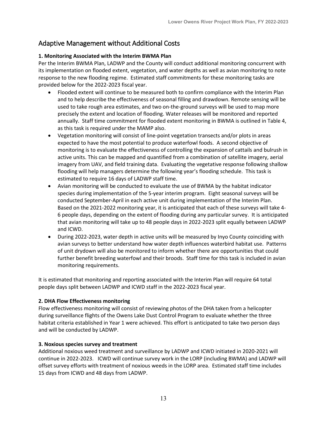# Adaptive Management without Additional Costs

## **1. Monitoring Associated with the Interim BWMA Plan**

Per the Interim BWMA Plan, LADWP and the County will conduct additional monitoring concurrent with its implementation on flooded extent, vegetation, and water depths as well as avian monitoring to note response to the new flooding regime. Estimated staff commitments for these monitoring tasks are provided below for the 2022-2023 fiscal year.

- Flooded extent will continue to be measured both to confirm compliance with the Interim Plan and to help describe the effectiveness of seasonal filling and drawdown. Remote sensing will be used to take rough area estimates, and two on-the-ground surveys will be used to map more precisely the extent and location of flooding. Water releases will be monitored and reported annually. Staff time commitment for flooded extent monitoring in BWMA is outlined in Table 4, as this task is required under the MAMP also.
- Vegetation monitoring will consist of line-point vegetation transects and/or plots in areas expected to have the most potential to produce waterfowl foods. A second objective of monitoring is to evaluate the effectiveness of controlling the expansion of cattails and bulrush in active units. This can be mapped and quantified from a combination of satellite imagery, aerial imagery from UAV, and field training data. Evaluating the vegetative response following shallow flooding will help managers determine the following year's flooding schedule. This task is estimated to require 16 days of LADWP staff time.
- Avian monitoring will be conducted to evaluate the use of BWMA by the habitat indicator species during implementation of the 5-year interim program. Eight seasonal surveys will be conducted September-April in each active unit during implementation of the Interim Plan. Based on the 2021-2022 monitoring year, it is anticipated that each of these surveys will take 4- 6 people days, depending on the extent of flooding during any particular survey. It is anticipated that avian monitoring will take up to 48 people days in 2022-2023 split equally between LADWP and ICWD.
- During 2022-2023, water depth in active units will be measured by Inyo County coinciding with avian surveys to better understand how water depth influences waterbird habitat use. Patterns of unit drydown will also be monitored to inform whether there are opportunities that could further benefit breeding waterfowl and their broods. Staff time for this task is included in avian monitoring requirements.

It is estimated that monitoring and reporting associated with the Interim Plan will require 64 total people days split between LADWP and ICWD staff in the 2022-2023 fiscal year.

## **2. DHA Flow Effectiveness monitoring**

Flow effectiveness monitoring will consist of reviewing photos of the DHA taken from a helicopter during surveillance flights of the Owens Lake Dust Control Program to evaluate whether the three habitat criteria established in Year 1 were achieved. This effort is anticipated to take two person days and will be conducted by LADWP.

## **3. Noxious species survey and treatment**

Additional noxious weed treatment and surveillance by LADWP and ICWD initiated in 2020-2021 will continue in 2022-2023. ICWD will continue survey work in the LORP (including BWMA) and LADWP will offset survey efforts with treatment of noxious weeds in the LORP area. Estimated staff time includes 15 days from ICWD and 48 days from LADWP.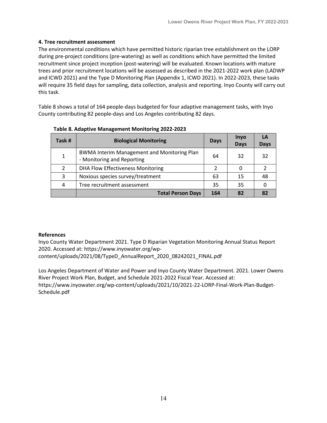## **4. Tree recruitment assessment**

The environmental conditions which have permitted historic riparian tree establishment on the LORP during pre-project conditions (pre-watering) as well as conditions which have permitted the limited recruitment since project inception (post-watering) will be evaluated. Known locations with mature trees and prior recruitment locations will be assessed as described in the 2021-2022 work plan (LADWP and ICWD 2021) and the Type D Monitoring Plan (Appendix 1, ICWD 2021). In 2022-2023, these tasks will require 35 field days for sampling, data collection, analysis and reporting. Inyo County will carry out this task.

Table 8 shows a total of 164 people-days budgeted for four adaptive management tasks, with Inyo County contributing 82 people-days and Los Angeles contributing 82 days.

| Task # | <b>Biological Monitoring</b>                                                     | <b>Days</b> | <b>Inyo</b><br><b>Days</b> | Days |
|--------|----------------------------------------------------------------------------------|-------------|----------------------------|------|
| 1      | <b>BWMA Interim Management and Monitoring Plan</b><br>- Monitoring and Reporting | 64          | 32                         | 32   |
| 2      | <b>DHA Flow Effectiveness Monitoring</b>                                         |             |                            |      |
| 3      | Noxious species survey/treatment                                                 | 63          | 15                         |      |
| 4      | Tree recruitment assessment                                                      | 35          | 35                         |      |
|        | <b>Total Person Days</b>                                                         | 164         | 82                         |      |

### **Table 8. Adaptive Management Monitoring 2022-2023**

### **References**

Inyo County Water Department 2021. Type D Riparian Vegetation Monitoring Annual Status Report 2020. Accessed at: [https://www.inyowater.org/wp](https://www.inyowater.org/wp-content/uploads/2021/08/TypeD_AnnualReport_2020_08242021_FINAL.pdf)[content/uploads/2021/08/TypeD\\_AnnualReport\\_2020\\_08242021\\_FINAL.pdf](https://www.inyowater.org/wp-content/uploads/2021/08/TypeD_AnnualReport_2020_08242021_FINAL.pdf)

Los Angeles Department of Water and Power and Inyo County Water Department. 2021. Lower Owens River Project Work Plan, Budget, and Schedule 2021-2022 Fiscal Year. Accessed at: https://www.inyowater.org/wp-content/uploads/2021/10/2021-22-LORP-Final-Work-Plan-Budget-Schedule.pdf